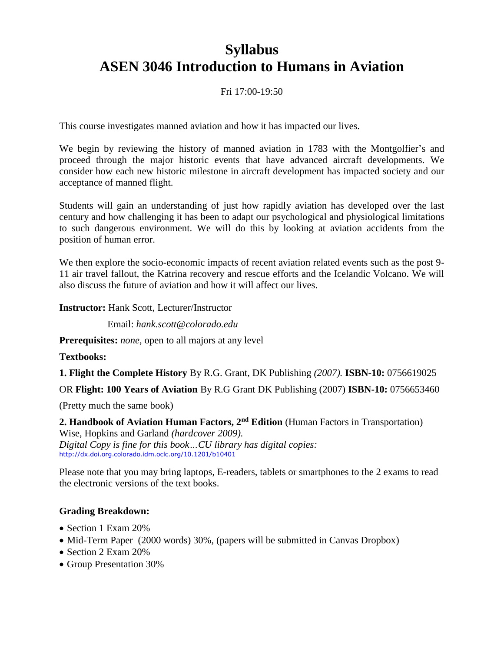# **Syllabus ASEN 3046 Introduction to Humans in Aviation**

#### Fri 17:00-19:50

This course investigates manned aviation and how it has impacted our lives.

We begin by reviewing the history of manned aviation in 1783 with the Montgolfier's and proceed through the major historic events that have advanced aircraft developments. We consider how each new historic milestone in aircraft development has impacted society and our acceptance of manned flight.

Students will gain an understanding of just how rapidly aviation has developed over the last century and how challenging it has been to adapt our psychological and physiological limitations to such dangerous environment. We will do this by looking at aviation accidents from the position of human error.

We then explore the socio-economic impacts of recent aviation related events such as the post 9- 11 air travel fallout, the Katrina recovery and rescue efforts and the Icelandic Volcano. We will also discuss the future of aviation and how it will affect our lives.

**Instructor:** Hank Scott, Lecturer/Instructor

Email: *hank.scott@colorado.edu*

**Prerequisites:** *none*, open to all majors at any level

**Textbooks:**

**1. Flight the Complete History** By R.G. Grant, DK Publishing *(2007).* **ISBN-10:** 0756619025

OR **Flight: 100 Years of Aviation** By R.G Grant DK Publishing (2007) **ISBN-10:** 0756653460

(Pretty much the same book)

**2. Handbook of Aviation Human Factors, 2nd Edition** (Human Factors in Transportation) Wise, Hopkins and Garland *(hardcover 2009). Digital Copy is fine for this book…CU library has digital copies:* <http://dx.doi.org.colorado.idm.oclc.org/10.1201/b10401>

Please note that you may bring laptops, E-readers, tablets or smartphones to the 2 exams to read the electronic versions of the text books.

#### **Grading Breakdown:**

- Section 1 Exam 20%
- Mid-Term Paper (2000 words) 30%, (papers will be submitted in Canvas Dropbox)
- Section 2 Exam 20%
- Group Presentation 30%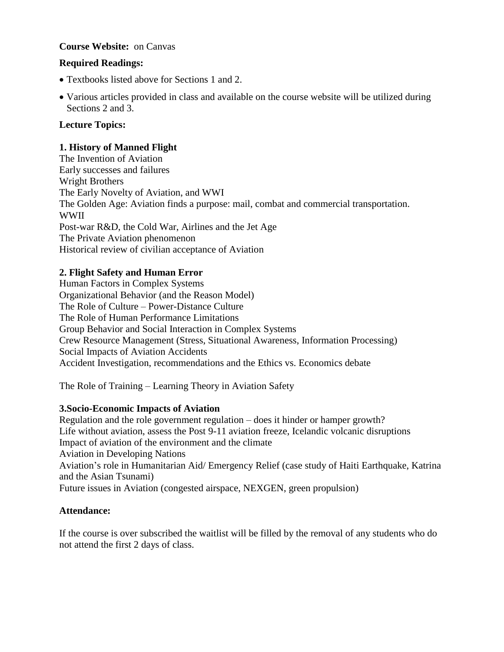#### **Course Website:** on Canvas

#### **Required Readings:**

- Textbooks listed above for Sections 1 and 2.
- Various articles provided in class and available on the course website will be utilized during Sections 2 and 3.

#### **Lecture Topics:**

#### **1. History of Manned Flight**

The Invention of Aviation Early successes and failures Wright Brothers The Early Novelty of Aviation, and WWI The Golden Age: Aviation finds a purpose: mail, combat and commercial transportation. WWII Post-war R&D, the Cold War, Airlines and the Jet Age The Private Aviation phenomenon Historical review of civilian acceptance of Aviation

#### **2. Flight Safety and Human Error**

Human Factors in Complex Systems Organizational Behavior (and the Reason Model) The Role of Culture – Power-Distance Culture The Role of Human Performance Limitations Group Behavior and Social Interaction in Complex Systems Crew Resource Management (Stress, Situational Awareness, Information Processing) Social Impacts of Aviation Accidents Accident Investigation, recommendations and the Ethics vs. Economics debate

The Role of Training – Learning Theory in Aviation Safety

#### **3.Socio-Economic Impacts of Aviation**

Regulation and the role government regulation – does it hinder or hamper growth? Life without aviation, assess the Post 9-11 aviation freeze, Icelandic volcanic disruptions Impact of aviation of the environment and the climate Aviation in Developing Nations Aviation's role in Humanitarian Aid/ Emergency Relief (case study of Haiti Earthquake, Katrina and the Asian Tsunami) Future issues in Aviation (congested airspace, NEXGEN, green propulsion)

#### **Attendance:**

If the course is over subscribed the waitlist will be filled by the removal of any students who do not attend the first 2 days of class.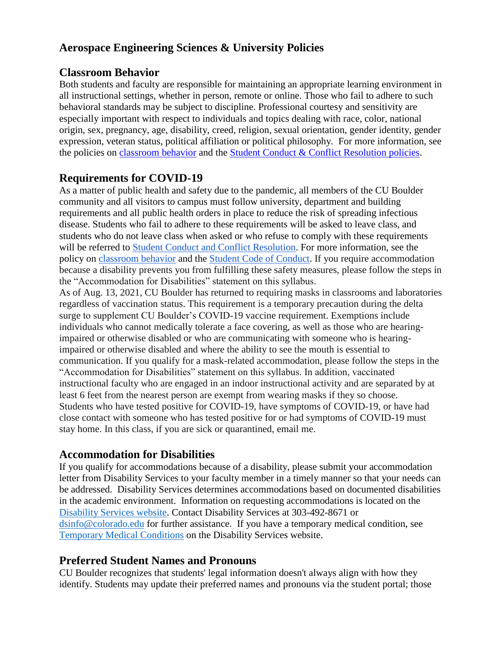# **Aerospace Engineering Sciences & University Policies**

### **Classroom Behavior**

Both students and faculty are responsible for maintaining an appropriate learning environment in all instructional settings, whether in person, remote or online. Those who fail to adhere to such behavioral standards may be subject to discipline. Professional courtesy and sensitivity are especially important with respect to individuals and topics dealing with race, color, national origin, sex, pregnancy, age, disability, creed, religion, sexual orientation, gender identity, gender expression, veteran status, political affiliation or political philosophy. For more information, see the policies on [classroom behavior](http://www.colorado.edu/policies/student-classroom-and-course-related-behavior) and the [Student Conduct & Conflict Resolution policies.](https://www.colorado.edu/sccr/student-conduct)

# **Requirements for COVID-19**

As a matter of public health and safety due to the pandemic, all members of the CU Boulder community and all visitors to campus must follow university, department and building requirements and all public health orders in place to reduce the risk of spreading infectious disease. Students who fail to adhere to these requirements will be asked to leave class, and students who do not leave class when asked or who refuse to comply with these requirements will be referred to [Student Conduct and Conflict Resolution.](https://www.colorado.edu/sccr/) For more information, see the policy on [classroom behavior](https://www.colorado.edu/policies/covid-19-health-and-safety-policy) and th[e](http://www.colorado.edu/osccr/) [Student Code of Conduct.](http://www.colorado.edu/osccr/) If you require accommodation because a disability prevents you from fulfilling these safety measures, please follow the steps in the "Accommodation for Disabilities" statement on this syllabus.

As of Aug. 13, 2021, CU Boulder has returned to requiring masks in classrooms and laboratories regardless of vaccination status. This requirement is a temporary precaution during the delta surge to supplement CU Boulder's COVID-19 vaccine requirement. Exemptions include individuals who cannot medically tolerate a face covering, as well as those who are hearingimpaired or otherwise disabled or who are communicating with someone who is hearingimpaired or otherwise disabled and where the ability to see the mouth is essential to communication. If you qualify for a mask-related accommodation, please follow the steps in the "Accommodation for Disabilities" statement on this syllabus. In addition, vaccinated instructional faculty who are engaged in an indoor instructional activity and are separated by at least 6 feet from the nearest person are exempt from wearing masks if they so choose. Students who have tested positive for COVID-19, have symptoms of COVID-19, or have had close contact with someone who has tested positive for or had symptoms of COVID-19 must stay home. In this class, if you are sick or quarantined, email me.

# **Accommodation for Disabilities**

If you qualify for accommodations because of a disability, please submit your accommodation letter from Disability Services to your faculty member in a timely manner so that your needs can be addressed. Disability Services determines accommodations based on documented disabilities in the academic environment. Information on requesting accommodations is located on the [Disability Services website.](https://www.colorado.edu/disabilityservices/) Contact Disability Services at 303-492-8671 or [dsinfo@colorado.edu](mailto:dsinfo@colorado.edu) for further assistance. If you have a temporary medical condition, see [Temporary Medical Conditions](http://www.colorado.edu/disabilityservices/students/temporary-medical-conditions) on the Disability Services website.

# **Preferred Student Names and Pronouns**

CU Boulder recognizes that students' legal information doesn't always align with how they identify. Students may update their preferred names and pronouns via the student portal; those